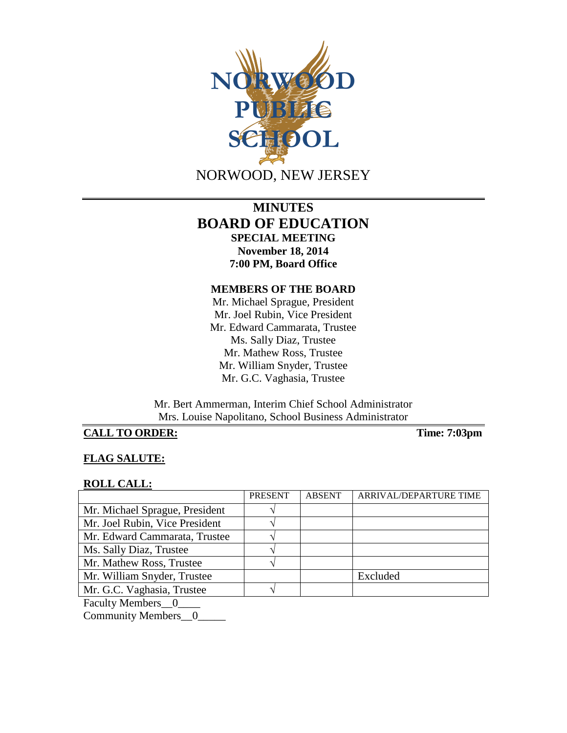

# **MINUTES BOARD OF EDUCATION SPECIAL MEETING November 18, 2014 7:00 PM, Board Office**

#### **MEMBERS OF THE BOARD**

Mr. Michael Sprague, President Mr. Joel Rubin, Vice President Mr. Edward Cammarata, Trustee Ms. Sally Diaz, Trustee Mr. Mathew Ross, Trustee Mr. William Snyder, Trustee Mr. G.C. Vaghasia, Trustee

Mr. Bert Ammerman, Interim Chief School Administrator Mrs. Louise Napolitano, School Business Administrator

## **CALL TO ORDER: Time: 7:03pm**

## **FLAG SALUTE:**

#### **ROLL CALL:**

|                                          | <b>PRESENT</b> | <b>ABSENT</b> | ARRIVAL/DEPARTURE TIME |
|------------------------------------------|----------------|---------------|------------------------|
| Mr. Michael Sprague, President           |                |               |                        |
| Mr. Joel Rubin, Vice President           |                |               |                        |
| Mr. Edward Cammarata, Trustee            |                |               |                        |
| Ms. Sally Diaz, Trustee                  |                |               |                        |
| Mr. Mathew Ross, Trustee                 |                |               |                        |
| Mr. William Snyder, Trustee              |                |               | Excluded               |
| Mr. G.C. Vaghasia, Trustee               |                |               |                        |
| $\mathbf{r}$ 1. $\mathbf{r}$ 1. $\alpha$ |                |               |                        |

Faculty Members\_0\_

Community Members\_0\_